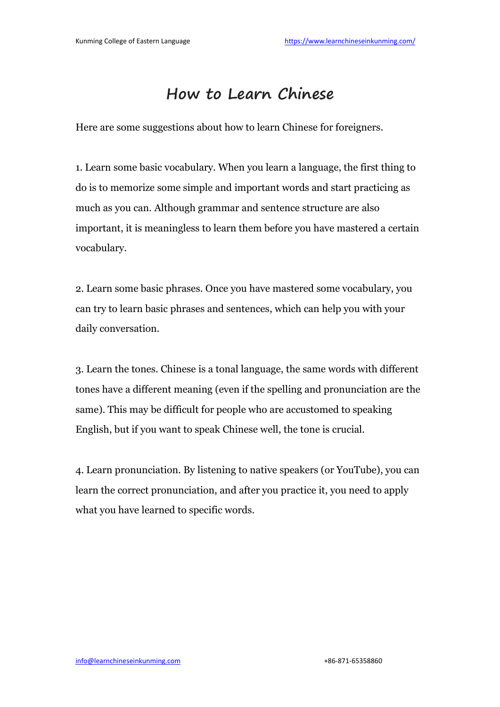## **How to Learn [Chinese](https://1.bp.blogspot.com/-KgDnAYm_Co4/Wwvs3oB2UXI/AAAAAAAAAFo/cafeRKejcDYjbgMxB3LKfjBB4Av6OVongCLcBGAs/s1600/how-to-learn-chinese.jpg)**

Here are some suggestions about how to learn Chinese for foreigners.

1. Learn some basic vocabulary. When you learn a language, the first thing to do is to memorize some simple and important words and start practicing as much as you can. Although grammar and sentence structure are also important, it is meaningless to learn them before you have mastered a certain vocabulary.

2. Learn some basic phrases. Once you have mastered some vocabulary, you can try to learn basic phrases and sentences, which can help you with your daily conversation.

3. Learn the tones. Chinese is a tonal language, the same words with different tones have a different meaning (even if the spelling and pronunciation are the same). This may be difficult for people who are accustomed to speaking English, but if you want to speak Chinese well, the tone is crucial.

4. Learn pronunciation. By listening to native speakers (or YouTube), you can learn the correct pronunciation, and after you practice it, you need to apply what you have learned to specific words.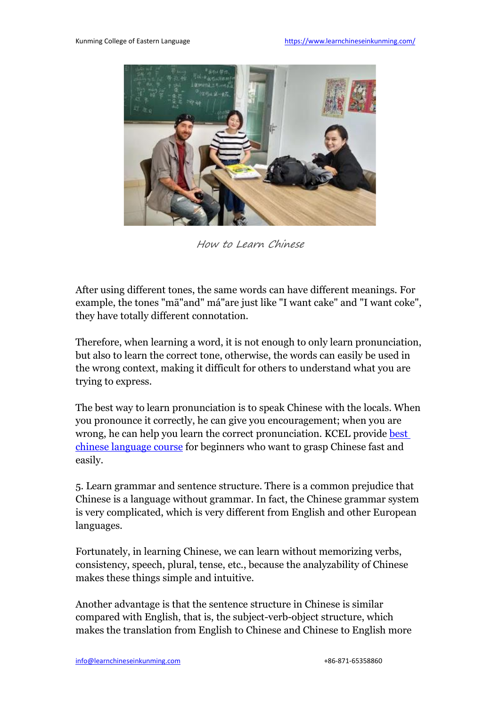

How to Learn Chinese

After using different tones, the same words can have different meanings. For example, the tones "mā"and" má"are just like "I want cake" and "I want coke", they have totally different connotation.

Therefore, when learning a word, it is notenough to only learn pronunciation, but also to learn the correct tone, otherwise, the words can easily be used in the wrong context, making it difficult for others to understand what you are trying to express.

The best way to learn pronunciation is to speak Chinese with the locals. When you pronounce it correctly, he can give you encouragement; when you are wrong, he can help you learn the correct pronunciation. KCEL provide [best](https://www.learnchineseinkunming.com/chinese-language-courses/) chinese language course for beginners who want to grasp Chinese fast and easily.

5. Learn grammar and sentence structure. There isa common prejudice that Chinese is a language without grammar. In fact, the Chinese grammar system is very complicated, which is very different from English and other European languages.

Fortunately, in learning Chinese, we can learn without memorizing verbs, consistency, speech, plural, tense, etc., because the analyzability of Chinese makes these things simple and intuitive.

Another advantage is that the sentence structure in Chinese is similar compared with English, that is, the subject-verb-object structure, which makes the translation from English to Chinese and Chinese to English more